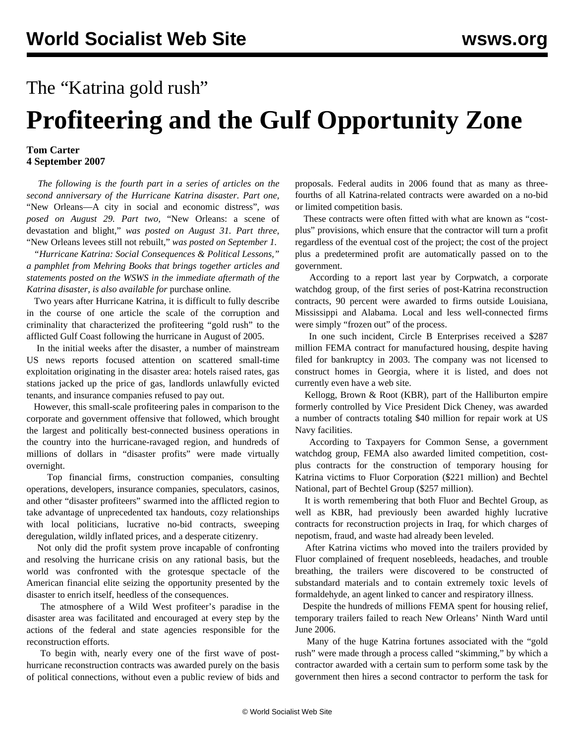## The "Katrina gold rush" **Profiteering and the Gulf Opportunity Zone**

## **Tom Carter 4 September 2007**

 *The following is the fourth part in a series of articles on the second anniversary of the Hurricane Katrina disaster. Part one,* ["New Orleans—A city in social and economic distress"](../aug2007/katr-a29.shtml)*, was posed on August 29. Part two,* ["New Orleans: a scene of](../aug2007/katr-a31.shtml) [devastation and blight,"](../aug2007/katr-a31.shtml) *was posted on August 31. Part three,* ["New Orleans levees still not rebuilt,"](katr-s01.shtml) *was posted on September 1.*

 *"Hurricane Katrina: Social Consequences & Political Lessons," a pamphlet from Mehring Books that brings together articles and statements posted on the WSWS in the immediate aftermath of the Katrina disaster, is also available for* [purchase online](https://secure.wsws.org/cgi-bin/store/commerce.cgi)*.*

 Two years after Hurricane Katrina, it is difficult to fully describe in the course of one article the scale of the corruption and criminality that characterized the profiteering "gold rush" to the afflicted Gulf Coast following the hurricane in August of 2005.

 In the initial weeks after the disaster, a number of mainstream US news reports focused attention on scattered small-time exploitation originating in the disaster area: hotels raised rates, gas stations jacked up the price of gas, landlords unlawfully evicted tenants, and insurance companies refused to pay out.

 However, this small-scale profiteering pales in comparison to the corporate and government offensive that followed, which brought the largest and politically best-connected business operations in the country into the hurricane-ravaged region, and hundreds of millions of dollars in "disaster profits" were made virtually overnight.

 Top financial firms, construction companies, consulting operations, developers, insurance companies, speculators, casinos, and other "disaster profiteers" swarmed into the afflicted region to take advantage of unprecedented tax handouts, cozy relationships with local politicians, lucrative no-bid contracts, sweeping deregulation, wildly inflated prices, and a desperate citizenry.

 Not only did the profit system prove incapable of confronting and resolving the hurricane crisis on any rational basis, but the world was confronted with the grotesque spectacle of the American financial elite seizing the opportunity presented by the disaster to enrich itself, heedless of the consequences.

 The atmosphere of a Wild West profiteer's paradise in the disaster area was facilitated and encouraged at every step by the actions of the federal and state agencies responsible for the reconstruction efforts.

 To begin with, nearly every one of the first wave of posthurricane reconstruction contracts was awarded purely on the basis of political connections, without even a public review of bids and proposals. Federal audits in 2006 found that as many as threefourths of all Katrina-related contracts were awarded on a no-bid or limited competition basis.

 These contracts were often fitted with what are known as "costplus" provisions, which ensure that the contractor will turn a profit regardless of the eventual cost of the project; the cost of the project plus a predetermined profit are automatically passed on to the government.

 According to a report last year by Corpwatch, a corporate watchdog group, of the first series of post-Katrina reconstruction contracts, 90 percent were awarded to firms outside Louisiana, Mississippi and Alabama. Local and less well-connected firms were simply "frozen out" of the process.

 In one such incident, Circle B Enterprises received a \$287 million FEMA contract for manufactured housing, despite having filed for bankruptcy in 2003. The company was not licensed to construct homes in Georgia, where it is listed, and does not currently even have a web site.

 Kellogg, Brown & Root (KBR), part of the Halliburton empire formerly controlled by Vice President Dick Cheney, was awarded a number of contracts totaling \$40 million for repair work at US Navy facilities.

 According to Taxpayers for Common Sense, a government watchdog group, FEMA also awarded limited competition, costplus contracts for the construction of temporary housing for Katrina victims to Fluor Corporation (\$221 million) and Bechtel National, part of Bechtel Group (\$257 million).

 It is worth remembering that both Fluor and Bechtel Group, as well as KBR, had previously been awarded highly lucrative contracts for reconstruction projects in Iraq, for which charges of nepotism, fraud, and waste had already been leveled.

 After Katrina victims who moved into the trailers provided by Fluor complained of frequent nosebleeds, headaches, and trouble breathing, the trailers were discovered to be constructed of substandard materials and to contain extremely toxic levels of formaldehyde, an agent linked to cancer and respiratory illness.

 Despite the hundreds of millions FEMA spent for housing relief, temporary trailers failed to reach New Orleans' Ninth Ward until June 2006.

 Many of the huge Katrina fortunes associated with the "gold rush" were made through a process called "skimming," by which a contractor awarded with a certain sum to perform some task by the government then hires a second contractor to perform the task for